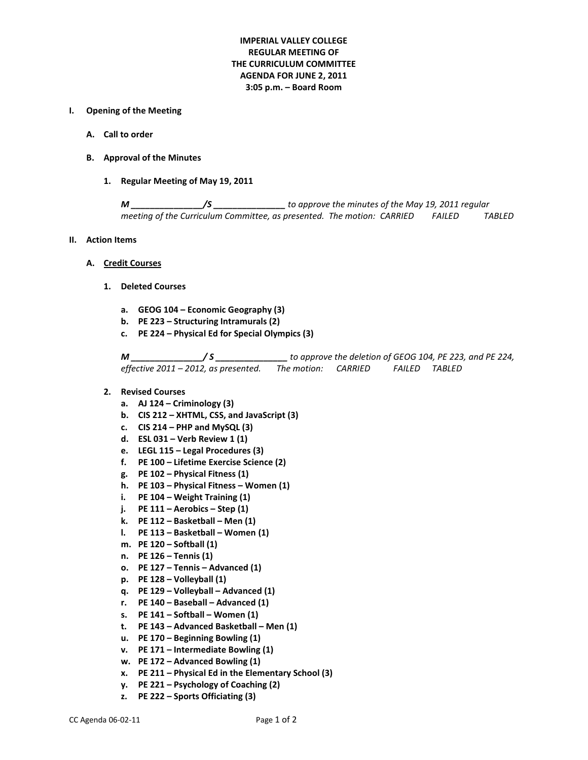# **IMPERIAL VALLEY COLLEGE REGULAR MEETING OF THE CURRICULUM COMMITTEE AGENDA FOR JUNE 2, 2011 3:05 p.m. – Board Room**

#### **I. Opening of the Meeting**

- **A. Call to order**
- **B. Approval of the Minutes**
	- **1. Regular Meeting of May 19, 2011**

*M \_\_\_\_\_\_\_\_\_\_\_\_\_\_\_/S \_\_\_\_\_\_\_\_\_\_\_\_\_\_\_ to approve the minutes of the May 19, 2011 regular meeting of the Curriculum Committee, as presented. The motion: CARRIED FAILED TABLED*

#### **II. Action Items**

- **A. Credit Courses**
	- **1. Deleted Courses**
		- **a. GEOG 104 – Economic Geography (3)**
		- **b. PE 223 – Structuring Intramurals (2)**
		- **c. PE 224 – Physical Ed for Special Olympics (3)**

*M \_\_\_\_\_\_\_\_\_\_\_\_\_\_\_/ S \_\_\_\_\_\_\_\_\_\_\_\_\_\_\_ to approve the deletion of GEOG 104, PE 223, and PE 224, effective 2011 – 2012, as presented. The motion: CARRIED FAILED TABLED*

- **2. Revised Courses**
	- **a. AJ 124 – Criminology (3)**
	- **b. CIS 212 – XHTML, CSS, and JavaScript (3)**
	- **c. CIS 214 – PHP and MySQL (3)**
	- **d. ESL 031 – Verb Review 1 (1)**
	- **e. LEGL 115 – Legal Procedures (3)**
	- **f. PE 100 – Lifetime Exercise Science (2)**
	- **g. PE 102 – Physical Fitness (1)**
	- **h. PE 103 – Physical Fitness – Women (1)**
	- **i. PE 104 – Weight Training (1)**
	- **j. PE 111 – Aerobics – Step (1)**
	- **k. PE 112 – Basketball – Men (1)**
	- **l. PE 113 – Basketball – Women (1)**
	- **m. PE 120 – Softball (1)**
	- **n. PE 126 – Tennis (1)**
	- **o. PE 127 – Tennis – Advanced (1)**
	- **p. PE 128 – Volleyball (1)**
	- **q. PE 129 – Volleyball – Advanced (1)**
	- **r. PE 140 – Baseball – Advanced (1)**
	- **s. PE 141 – Softball – Women (1)**
	- **t. PE 143 – Advanced Basketball – Men (1)**
	- **u. PE 170 – Beginning Bowling (1)**
	- **v. PE 171 – Intermediate Bowling (1)**
	- **w. PE 172 – Advanced Bowling (1)**
	- **x. PE 211 – Physical Ed in the Elementary School (3)**
	- **y. PE 221 – Psychology of Coaching (2)**
	- **z. PE 222 – Sports Officiating (3)**